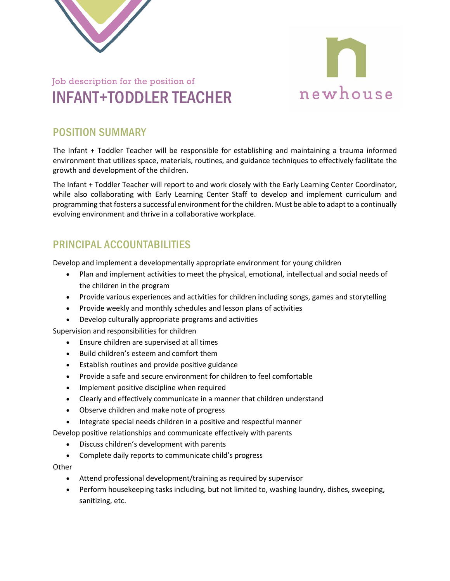



# Job description for the position of INFANT+TODDLER TEACHER

#### POSITION SUMMARY

The Infant + Toddler Teacher will be responsible for establishing and maintaining a trauma informed environment that utilizes space, materials, routines, and guidance techniques to effectively facilitate the growth and development of the children.

The Infant + Toddler Teacher will report to and work closely with the Early Learning Center Coordinator, while also collaborating with Early Learning Center Staff to develop and implement curriculum and programming that fosters a successful environment for the children. Must be able to adapt to a continually evolving environment and thrive in a collaborative workplace.

### PRINCIPAL ACCOUNTABILITIES

Develop and implement a developmentally appropriate environment for young children

- Plan and implement activities to meet the physical, emotional, intellectual and social needs of the children in the program
- Provide various experiences and activities for children including songs, games and storytelling
- Provide weekly and monthly schedules and lesson plans of activities
- Develop culturally appropriate programs and activities

Supervision and responsibilities for children

- Ensure children are supervised at all times
- Build children's esteem and comfort them
- Establish routines and provide positive guidance
- Provide a safe and secure environment for children to feel comfortable
- Implement positive discipline when required
- Clearly and effectively communicate in a manner that children understand
- Observe children and make note of progress
- Integrate special needs children in a positive and respectful manner

Develop positive relationships and communicate effectively with parents

- Discuss children's development with parents
- Complete daily reports to communicate child's progress

#### **Other**

- Attend professional development/training as required by supervisor
- Perform housekeeping tasks including, but not limited to, washing laundry, dishes, sweeping, sanitizing, etc.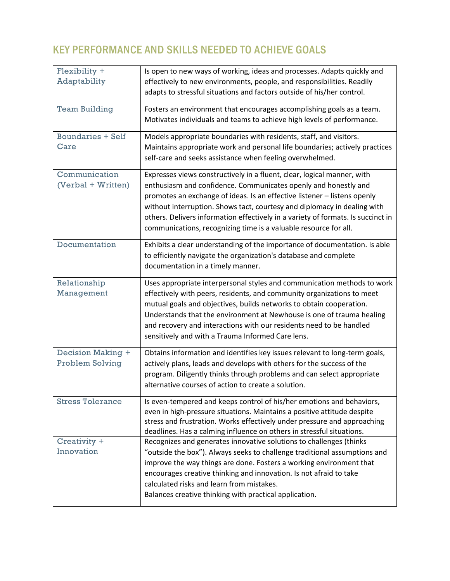# KEY PERFORMANCE AND SKILLS NEEDED TO ACHIEVE GOALS

| Flexibility +<br>Adaptability                      | Is open to new ways of working, ideas and processes. Adapts quickly and<br>effectively to new environments, people, and responsibilities. Readily<br>adapts to stressful situations and factors outside of his/her control.                                                                                                                                                                                                                                |
|----------------------------------------------------|------------------------------------------------------------------------------------------------------------------------------------------------------------------------------------------------------------------------------------------------------------------------------------------------------------------------------------------------------------------------------------------------------------------------------------------------------------|
|                                                    |                                                                                                                                                                                                                                                                                                                                                                                                                                                            |
| <b>Team Building</b>                               | Fosters an environment that encourages accomplishing goals as a team.<br>Motivates individuals and teams to achieve high levels of performance.                                                                                                                                                                                                                                                                                                            |
| <b>Boundaries + Self</b><br>Care                   | Models appropriate boundaries with residents, staff, and visitors.<br>Maintains appropriate work and personal life boundaries; actively practices<br>self-care and seeks assistance when feeling overwhelmed.                                                                                                                                                                                                                                              |
| Communication<br>(Verbal + Written)                | Expresses views constructively in a fluent, clear, logical manner, with<br>enthusiasm and confidence. Communicates openly and honestly and<br>promotes an exchange of ideas. Is an effective listener - listens openly<br>without interruption. Shows tact, courtesy and diplomacy in dealing with<br>others. Delivers information effectively in a variety of formats. Is succinct in<br>communications, recognizing time is a valuable resource for all. |
| Documentation                                      | Exhibits a clear understanding of the importance of documentation. Is able<br>to efficiently navigate the organization's database and complete<br>documentation in a timely manner.                                                                                                                                                                                                                                                                        |
| Relationship<br>Management                         | Uses appropriate interpersonal styles and communication methods to work<br>effectively with peers, residents, and community organizations to meet<br>mutual goals and objectives, builds networks to obtain cooperation.<br>Understands that the environment at Newhouse is one of trauma healing<br>and recovery and interactions with our residents need to be handled<br>sensitively and with a Trauma Informed Care lens.                              |
| <b>Decision Making +</b><br><b>Problem Solving</b> | Obtains information and identifies key issues relevant to long-term goals,<br>actively plans, leads and develops with others for the success of the<br>program. Diligently thinks through problems and can select appropriate<br>alternative courses of action to create a solution.                                                                                                                                                                       |
| <b>Stress Tolerance</b>                            | Is even-tempered and keeps control of his/her emotions and behaviors,<br>even in high-pressure situations. Maintains a positive attitude despite<br>stress and frustration. Works effectively under pressure and approaching<br>deadlines. Has a calming influence on others in stressful situations.                                                                                                                                                      |
| Creativity +<br>Innovation                         | Recognizes and generates innovative solutions to challenges (thinks<br>"outside the box"). Always seeks to challenge traditional assumptions and<br>improve the way things are done. Fosters a working environment that<br>encourages creative thinking and innovation. Is not afraid to take<br>calculated risks and learn from mistakes.<br>Balances creative thinking with practical application.                                                       |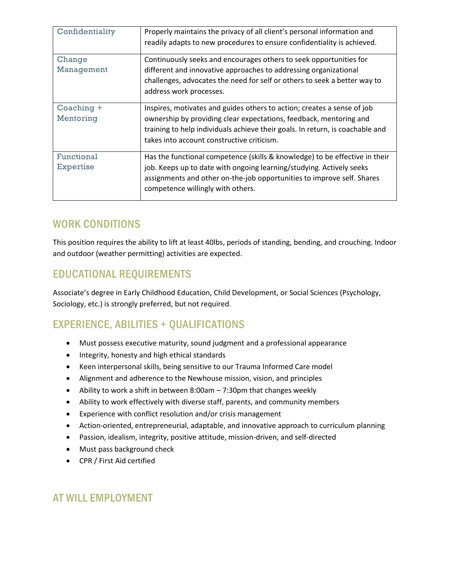| Confidentiality         | Properly maintains the privacy of all client's personal information and<br>readily adapts to new procedures to ensure confidentiality is achieved.                                                                                                                           |
|-------------------------|------------------------------------------------------------------------------------------------------------------------------------------------------------------------------------------------------------------------------------------------------------------------------|
| Change<br>Management    | Continuously seeks and encourages others to seek opportunities for<br>different and innovative approaches to addressing organizational<br>challenges, advocates the need for self or others to seek a better way to<br>address work processes.                               |
| Coaching +<br>Mentoring | Inspires, motivates and guides others to action; creates a sense of job<br>ownership by providing clear expectations, feedback, mentoring and<br>training to help individuals achieve their goals. In return, is coachable and<br>takes into account constructive criticism. |
| Functional<br>Expertise | Has the functional competence (skills & knowledge) to be effective in their<br>job. Keeps up to date with ongoing learning/studying. Actively seeks<br>assignments and other on-the-job opportunities to improve self. Shares<br>competence willingly with others.           |

#### WORK CONDITIONS

This position requires the ability to lift at least 40lbs, periods of standing, bending, and crouching. Indoor and outdoor (weather permitting) activities are expected.

#### EDUCATIONAL REQUIREMENTS

Associate's degree in Early Childhood Education, Child Development, or Social Sciences (Psychology, Sociology, etc.) is strongly preferred, but not required.

## EXPERIENCE, ABILITIES + QUALIFICATIONS

- Must possess executive maturity, sound judgment and a professional appearance
- Integrity, honesty and high ethical standards
- Keen interpersonal skills, being sensitive to our Trauma Informed Care model
- Alignment and adherence to the Newhouse mission, vision, and principles
- Ability to work a shift in between 8:00am 7:30pm that changes weekly
- Ability to work effectively with diverse staff, parents, and community members
- Experience with conflict resolution and/or crisis management
- Action-oriented, entrepreneurial, adaptable, and innovative approach to curriculum planning
- Passion, idealism, integrity, positive attitude, mission-driven, and self-directed
- Must pass background check
- CPR / First Aid certified

#### AT WILL EMPLOYMENT